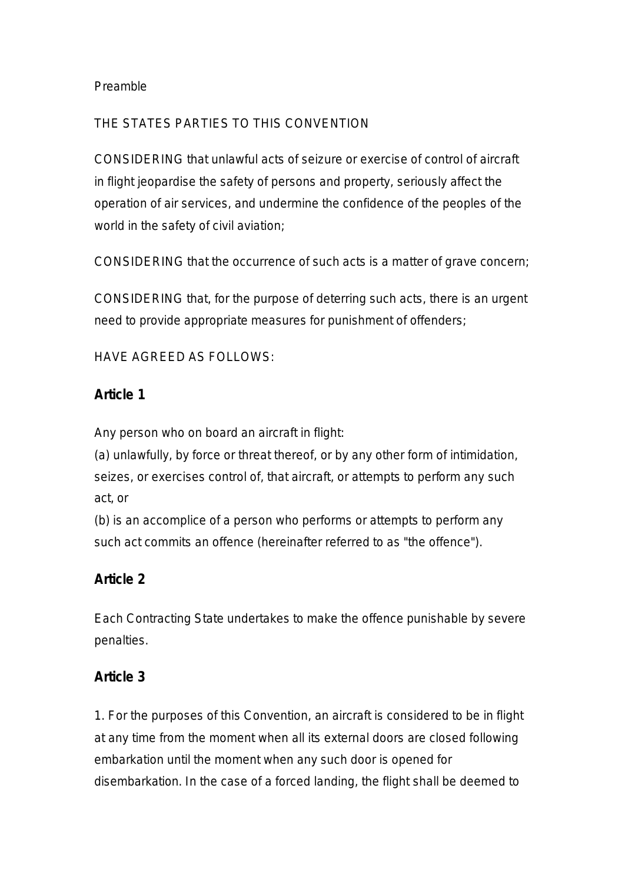#### Preamble

### THE STATES PARTIES TO THIS CONVENTION

CONSIDERING that unlawful acts of seizure or exercise of control of aircraft in flight jeopardise the safety of persons and property, seriously affect the operation of air services, and undermine the confidence of the peoples of the world in the safety of civil aviation;

CONSIDERING that the occurrence of such acts is a matter of grave concern;

CONSIDERING that, for the purpose of deterring such acts, there is an urgent need to provide appropriate measures for punishment of offenders;

HAVE AGREED AS FOLLOWS:

#### **Article 1**

Any person who on board an aircraft in flight:

(a) unlawfully, by force or threat thereof, or by any other form of intimidation, seizes, or exercises control of, that aircraft, or attempts to perform any such act, or

(b) is an accomplice of a person who performs or attempts to perform any such act commits an offence (hereinafter referred to as "the offence").

## **Article 2**

Each Contracting State undertakes to make the offence punishable by severe penalties.

## **Article 3**

1. For the purposes of this Convention, an aircraft is considered to be in flight at any time from the moment when all its external doors are closed following embarkation until the moment when any such door is opened for disembarkation. In the case of a forced landing, the flight shall be deemed to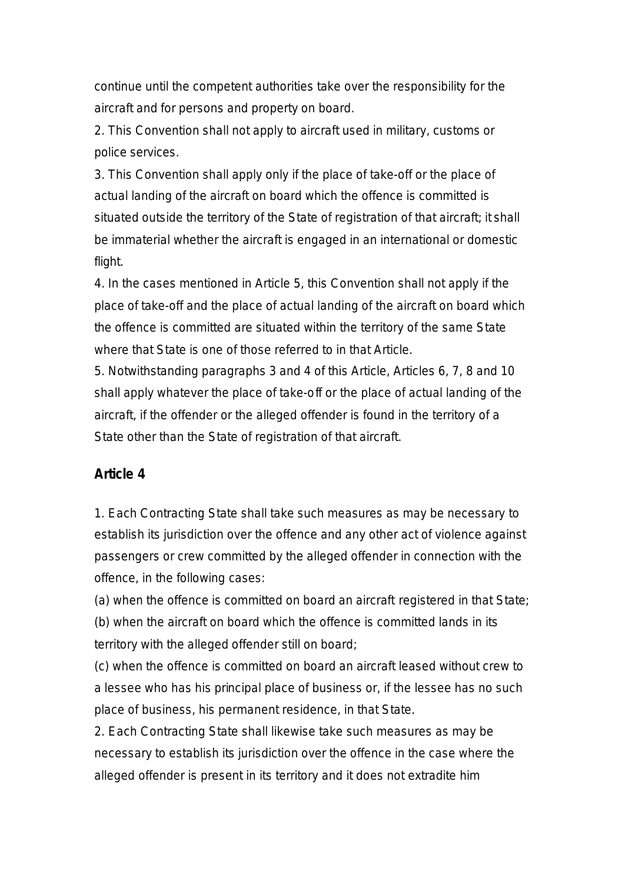continue until the competent authorities take over the responsibility for the aircraft and for persons and property on board.

2. This Convention shall not apply to aircraft used in military, customs or police services.

3. This Convention shall apply only if the place of take-off or the place of actual landing of the aircraft on board which the offence is committed is situated outside the territory of the State of registration of that aircraft; it shall be immaterial whether the aircraft is engaged in an international or domestic flight.

4. In the cases mentioned in Article 5, this Convention shall not apply if the place of take-off and the place of actual landing of the aircraft on board which the offence is committed are situated within the territory of the same State where that State is one of those referred to in that Article.

5. Notwithstanding paragraphs 3 and 4 of this Article, Articles 6, 7, 8 and 10 shall apply whatever the place of take-off or the place of actual landing of the aircraft, if the offender or the alleged offender is found in the territory of a State other than the State of registration of that aircraft.

## **Article 4**

1. Each Contracting State shall take such measures as may be necessary to establish its jurisdiction over the offence and any other act of violence against passengers or crew committed by the alleged offender in connection with the offence, in the following cases:

(a) when the offence is committed on board an aircraft registered in that State; (b) when the aircraft on board which the offence is committed lands in its territory with the alleged offender still on board;

(c) when the offence is committed on board an aircraft leased without crew to a lessee who has his principal place of business or, if the lessee has no such place of business, his permanent residence, in that State.

2. Each Contracting State shall likewise take such measures as may be necessary to establish its jurisdiction over the offence in the case where the alleged offender is present in its territory and it does not extradite him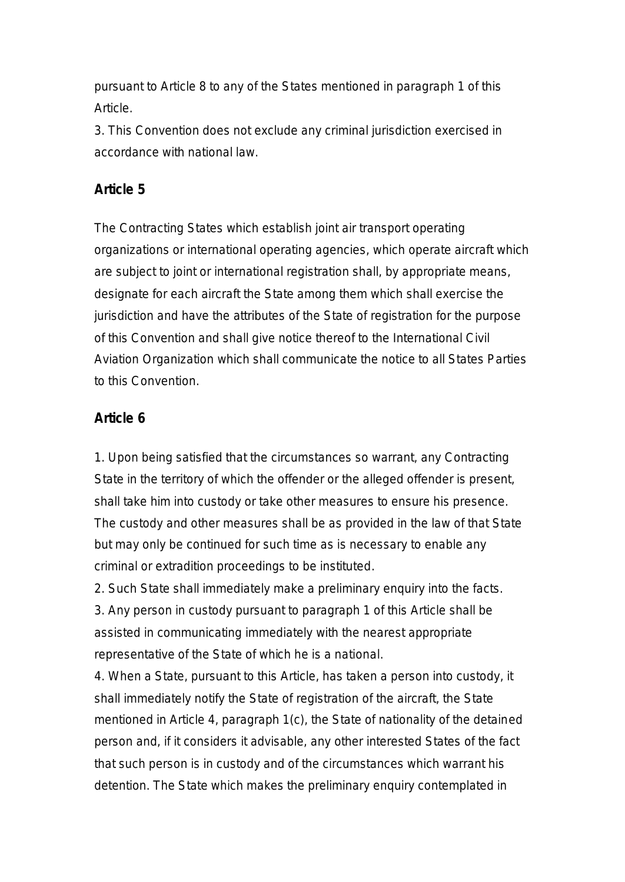pursuant to Article 8 to any of the States mentioned in paragraph 1 of this Article.

3. This Convention does not exclude any criminal jurisdiction exercised in accordance with national law.

## **Article 5**

The Contracting States which establish joint air transport operating organizations or international operating agencies, which operate aircraft which are subject to joint or international registration shall, by appropriate means, designate for each aircraft the State among them which shall exercise the jurisdiction and have the attributes of the State of registration for the purpose of this Convention and shall give notice thereof to the International Civil Aviation Organization which shall communicate the notice to all States Parties to this Convention.

# **Article 6**

1. Upon being satisfied that the circumstances so warrant, any Contracting State in the territory of which the offender or the alleged offender is present, shall take him into custody or take other measures to ensure his presence. The custody and other measures shall be as provided in the law of that State but may only be continued for such time as is necessary to enable any criminal or extradition proceedings to be instituted.

2. Such State shall immediately make a preliminary enquiry into the facts. 3. Any person in custody pursuant to paragraph 1 of this Article shall be assisted in communicating immediately with the nearest appropriate representative of the State of which he is a national.

4. When a State, pursuant to this Article, has taken a person into custody, it shall immediately notify the State of registration of the aircraft, the State mentioned in Article 4, paragraph 1(c), the State of nationality of the detained person and, if it considers it advisable, any other interested States of the fact that such person is in custody and of the circumstances which warrant his detention. The State which makes the preliminary enquiry contemplated in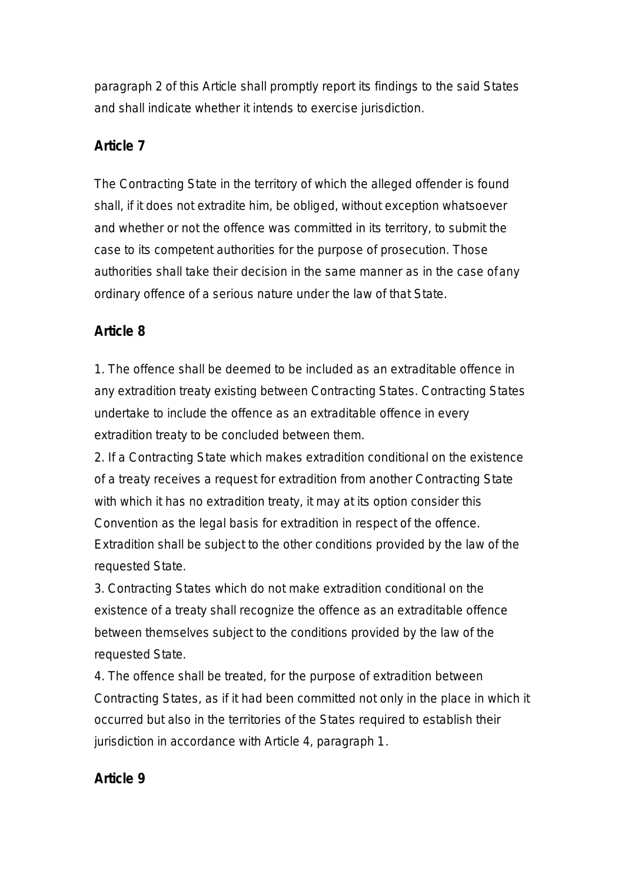paragraph 2 of this Article shall promptly report its findings to the said States and shall indicate whether it intends to exercise jurisdiction.

## **Article 7**

The Contracting State in the territory of which the alleged offender is found shall, if it does not extradite him, be obliged, without exception whatsoever and whether or not the offence was committed in its territory, to submit the case to its competent authorities for the purpose of prosecution. Those authorities shall take their decision in the same manner as in the case of any ordinary offence of a serious nature under the law of that State.

# **Article 8**

1. The offence shall be deemed to be included as an extraditable offence in any extradition treaty existing between Contracting States. Contracting States undertake to include the offence as an extraditable offence in every extradition treaty to be concluded between them.

2. If a Contracting State which makes extradition conditional on the existence of a treaty receives a request for extradition from another Contracting State with which it has no extradition treaty, it may at its option consider this Convention as the legal basis for extradition in respect of the offence. Extradition shall be subject to the other conditions provided by the law of the requested State.

3. Contracting States which do not make extradition conditional on the existence of a treaty shall recognize the offence as an extraditable offence between themselves subject to the conditions provided by the law of the requested State.

4. The offence shall be treated, for the purpose of extradition between Contracting States, as if it had been committed not only in the place in which it occurred but also in the territories of the States required to establish their jurisdiction in accordance with Article 4, paragraph 1.

# **Article 9**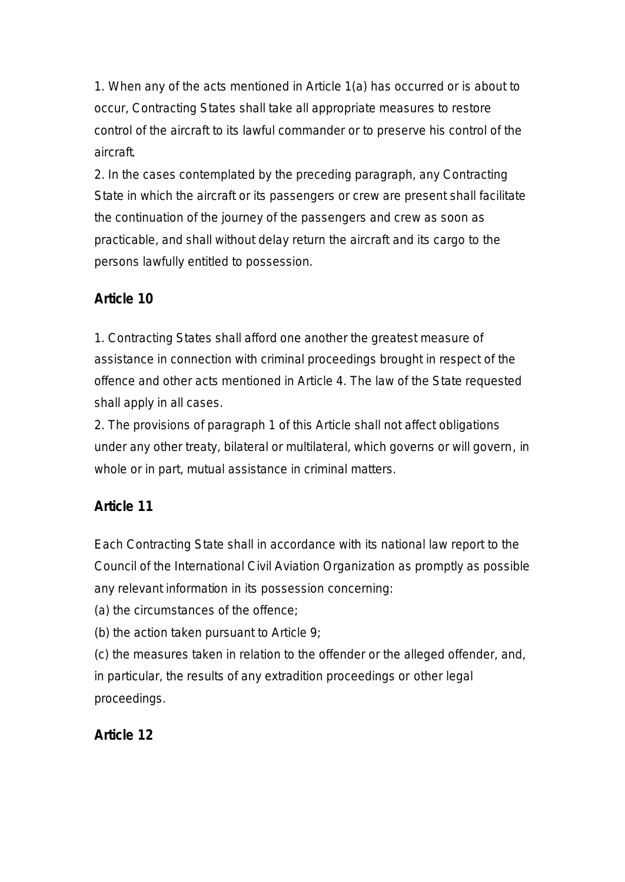1. When any of the acts mentioned in Article 1(a) has occurred or is about to occur, Contracting States shall take all appropriate measures to restore control of the aircraft to its lawful commander or to preserve his control of the aircraft.

2. In the cases contemplated by the preceding paragraph, any Contracting State in which the aircraft or its passengers or crew are present shall facilitate the continuation of the journey of the passengers and crew as soon as practicable, and shall without delay return the aircraft and its cargo to the persons lawfully entitled to possession.

# **Article 10**

1. Contracting States shall afford one another the greatest measure of assistance in connection with criminal proceedings brought in respect of the offence and other acts mentioned in Article 4. The law of the State requested shall apply in all cases.

2. The provisions of paragraph 1 of this Article shall not affect obligations under any other treaty, bilateral or multilateral, which governs or will govern, in whole or in part, mutual assistance in criminal matters.

# **Article 11**

Each Contracting State shall in accordance with its national law report to the Council of the International Civil Aviation Organization as promptly as possible any relevant information in its possession concerning:

(a) the circumstances of the offence;

(b) the action taken pursuant to Article 9;

(c) the measures taken in relation to the offender or the alleged offender, and, in particular, the results of any extradition proceedings or other legal proceedings.

# **Article 12**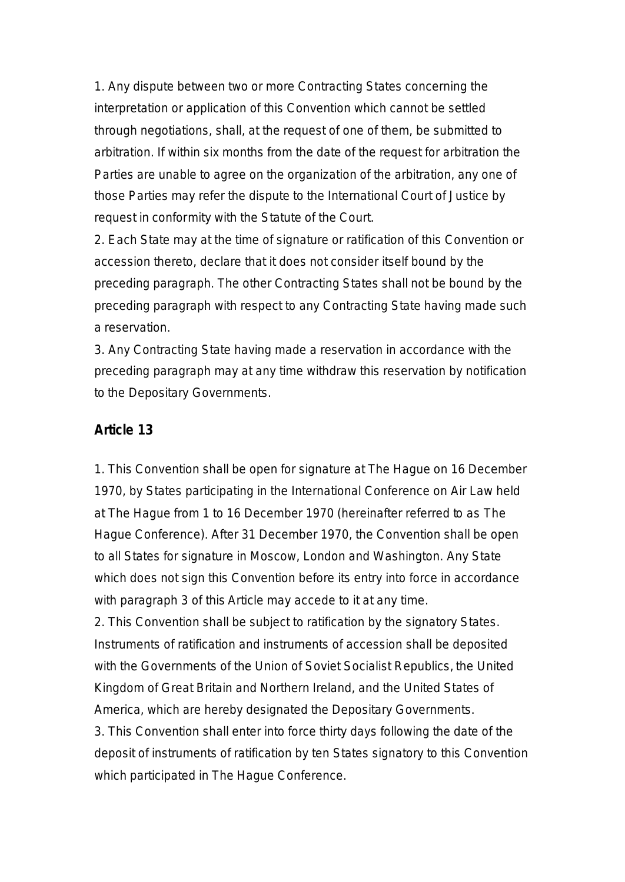1. Any dispute between two or more Contracting States concerning the interpretation or application of this Convention which cannot be settled through negotiations, shall, at the request of one of them, be submitted to arbitration. If within six months from the date of the request for arbitration the Parties are unable to agree on the organization of the arbitration, any one of those Parties may refer the dispute to the International Court of Justice by request in conformity with the Statute of the Court.

2. Each State may at the time of signature or ratification of this Convention or accession thereto, declare that it does not consider itself bound by the preceding paragraph. The other Contracting States shall not be bound by the preceding paragraph with respect to any Contracting State having made such a reservation.

3. Any Contracting State having made a reservation in accordance with the preceding paragraph may at any time withdraw this reservation by notification to the Depositary Governments.

#### **Article 13**

1. This Convention shall be open for signature at The Hague on 16 December 1970, by States participating in the International Conference on Air Law held at The Hague from 1 to 16 December 1970 (hereinafter referred to as The Hague Conference). After 31 December 1970, the Convention shall be open to all States for signature in Moscow, London and Washington. Any State which does not sign this Convention before its entry into force in accordance with paragraph 3 of this Article may accede to it at any time.

2. This Convention shall be subject to ratification by the signatory States. Instruments of ratification and instruments of accession shall be deposited with the Governments of the Union of Soviet Socialist Republics, the United Kingdom of Great Britain and Northern Ireland, and the United States of America, which are hereby designated the Depositary Governments.

3. This Convention shall enter into force thirty days following the date of the deposit of instruments of ratification by ten States signatory to this Convention which participated in The Hague Conference.